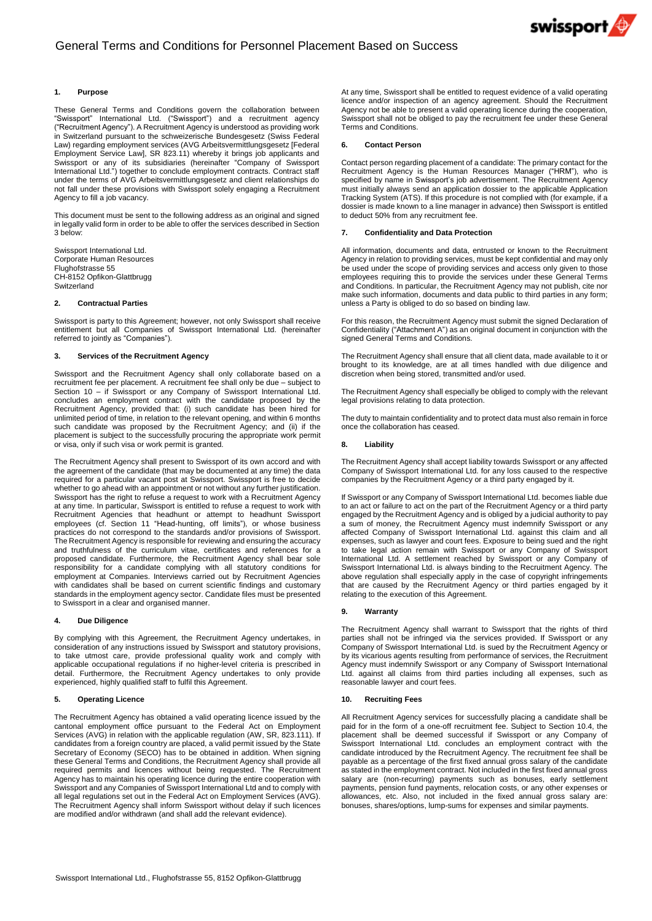

# **1. Purpose**

These General Terms and Conditions govern the collaboration between "Swissport" International Ltd. ("Swissport") and a recruitment agency ("Recruitment Agency"). A Recruitment Agency is understood as providing work in Switzerland pursuant to the schweizerische Bundesgesetz (Swiss Federal Law) regarding employment services (AVG Arbeitsvermittlungsgesetz [Federal Employment Service Law], SR 823.11) whereby it brings job applicants and Swissport or any of its subsidiaries (hereinafter "Company of Swissport International Ltd.") together to conclude employment contracts. Contract staff under the terms of AVG Arbeitsvermittlungsgesetz and client relationships do not fall under these provisions with Swissport solely engaging a Recruitment Agency to fill a job vacancy.

This document must be sent to the following address as an original and signed in legally valid form in order to be able to offer the services described in Section 3 below:

Swissport International Ltd. Corporate Human Resources Flughofstrasse 55 CH-8152 Opfikon-Glattbrugg Switzerland

## **2. Contractual Parties**

Swissport is party to this Agreement; however, not only Swissport shall receive entitlement but all Companies of Swissport International Ltd. (hereinafter referred to jointly as "Companies").

## **3. Services of the Recruitment Agency**

Swissport and the Recruitment Agency shall only collaborate based on a recruitment fee per placement. A recruitment fee shall only be due – subject to Section 10 – if Swissport or any Company of Swissport International Ltd. concludes an employment contract with the candidate proposed by the Recruitment Agency, provided that: (i) such candidate has been hired for unlimited period of time, in relation to the relevant opening, and within 6 months such candidate was proposed by the Recruitment Agency; and (ii) if the placement is subject to the successfully procuring the appropriate work permit or visa, only if such visa or work permit is granted.

The Recruitment Agency shall present to Swissport of its own accord and with the agreement of the candidate (that may be documented at any time) the data required for a particular vacant post at Swissport. Swissport is free to decide whether to go ahead with an appointment or not without any further justification. Swissport has the right to refuse a request to work with a Recruitment Agency at any time. In particular, Swissport is entitled to refuse a request to work with Recruitment Agencies that headhunt or attempt to headhunt Swissport employees (cf. Section 11 "Head-hunting, off limits"), or whose business practices do not correspond to the standards and/or provisions of Swissport. The Recruitment Agency is responsible for reviewing and ensuring the accuracy and truthfulness of the curriculum vitae, certificates and references for a proposed candidate. Furthermore, the Recruitment Agency shall bear sole responsibility for a candidate complying with all statutory conditions for employment at Companies. Interviews carried out by Recruitment Agencies with candidates shall be based on current scientific findings and customary standards in the employment agency sector. Candidate files must be presented to Swissport in a clear and organised manner.

### **4. Due Diligence**

By complying with this Agreement, the Recruitment Agency undertakes, in consideration of any instructions issued by Swissport and statutory provisions, to take utmost care, provide professional quality work and comply with applicable occupational regulations if no higher-level criteria is prescribed in detail. Furthermore, the Recruitment Agency undertakes to only provide experienced, highly qualified staff to fulfil this Agreement.

## **5. Operating Licence**

The Recruitment Agency has obtained a valid operating licence issued by the cantonal employment office pursuant to the Federal Act on Employment Services (AVG) in relation with the applicable regulation (AW, SR, 823.111). If candidates from a foreign country are placed, a valid permit issued by the State Secretary of Economy (SECO) has to be obtained in addition. When signing these General Terms and Conditions, the Recruitment Agency shall provide all required permits and licences without being requested. The Recruitment Agency has to maintain his operating licence during the entire cooperation with Swissport and any Companies of Swissport International Ltd and to comply with all legal regulations set out in the Federal Act on Employment Services (AVG). The Recruitment Agency shall inform Swissport without delay if such licences are modified and/or withdrawn (and shall add the relevant evidence).

At any time, Swissport shall be entitled to request evidence of a valid operating licence and/or inspection of an agency agreement. Should the Recruitment Agency not be able to present a valid operating licence during the cooperation, Swissport shall not be obliged to pay the recruitment fee under these General Terms and Conditions.

# **6. Contact Person**

Contact person regarding placement of a candidate: The primary contact for the Recruitment Agency is the Human Resources Manager ("HRM"), who is specified by name in Swissport's job advertisement. The Recruitment Agency must initially always send an application dossier to the applicable Application Tracking System (ATS). If this procedure is not complied with (for example, if a dossier is made known to a line manager in advance) then Swissport is entitled to deduct 50% from any recruitment fee.

## **7. Confidentiality and Data Protection**

All information, documents and data, entrusted or known to the Recruitment Agency in relation to providing services, must be kept confidential and may only be used under the scope of providing services and access only given to those employees requiring this to provide the services under these General Terms and Conditions. In particular, the Recruitment Agency may not publish, cite nor make such information, documents and data public to third parties in any form; unless a Party is obliged to do so based on binding law.

For this reason, the Recruitment Agency must submit the signed Declaration of Confidentiality ("Attachment A") as an original document in conjunction with the signed General Terms and Conditions.

The Recruitment Agency shall ensure that all client data, made available to it or brought to its knowledge, are at all times handled with due diligence and discretion when being stored, transmitted and/or used.

The Recruitment Agency shall especially be obliged to comply with the relevant legal provisions relating to data protection.

The duty to maintain confidentiality and to protect data must also remain in force once the collaboration has ceased.

#### **8. Liability**

The Recruitment Agency shall accept liability towards Swissport or any affected Company of Swissport International Ltd. for any loss caused to the respective companies by the Recruitment Agency or a third party engaged by it.

If Swissport or any Company of Swissport International Ltd. becomes liable due to an act or failure to act on the part of the Recruitment Agency or a third party engaged by the Recruitment Agency and is obliged by a judicial authority to pay a sum of money, the Recruitment Agency must indemnify Swissport or any affected Company of Swissport International Ltd. against this claim and all expenses, such as lawyer and court fees. Exposure to being sued and the right to take legal action remain with Swissport or any Company of Swissport International Ltd. A settlement reached by Swissport or any Company of Swissport International Ltd. is always binding to the Recruitment Agency. The above regulation shall especially apply in the case of copyright infringements that are caused by the Recruitment Agency or third parties engaged by it relating to the execution of this Agreement.

#### **9. Warranty**

The Recruitment Agency shall warrant to Swissport that the rights of third parties shall not be infringed via the services provided. If Swissport or any Company of Swissport International Ltd. is sued by the Recruitment Agency or by its vicarious agents resulting from performance of services, the Recruitment Agency must indemnify Swissport or any Company of Swissport International Ltd. against all claims from third parties including all expenses, such as reasonable lawyer and court fees.

## **10. Recruiting Fees**

All Recruitment Agency services for successfully placing a candidate shall be paid for in the form of a one-off recruitment fee. Subject to Section 10.4, the placement shall be deemed successful if Swissport or any Company of Swissport International Ltd. concludes an employment contract with the candidate introduced by the Recruitment Agency. The recruitment fee shall be payable as a percentage of the first fixed annual gross salary of the candidate as stated in the employment contract. Not included in the first fixed annual gross salary are (non-recurring) payments such as bonuses, early settlement payments, pension fund payments, relocation costs, or any other expenses or allowances, etc. Also, not included in the fixed annual gross salary are: bonuses, shares/options, lump-sums for expenses and similar payments.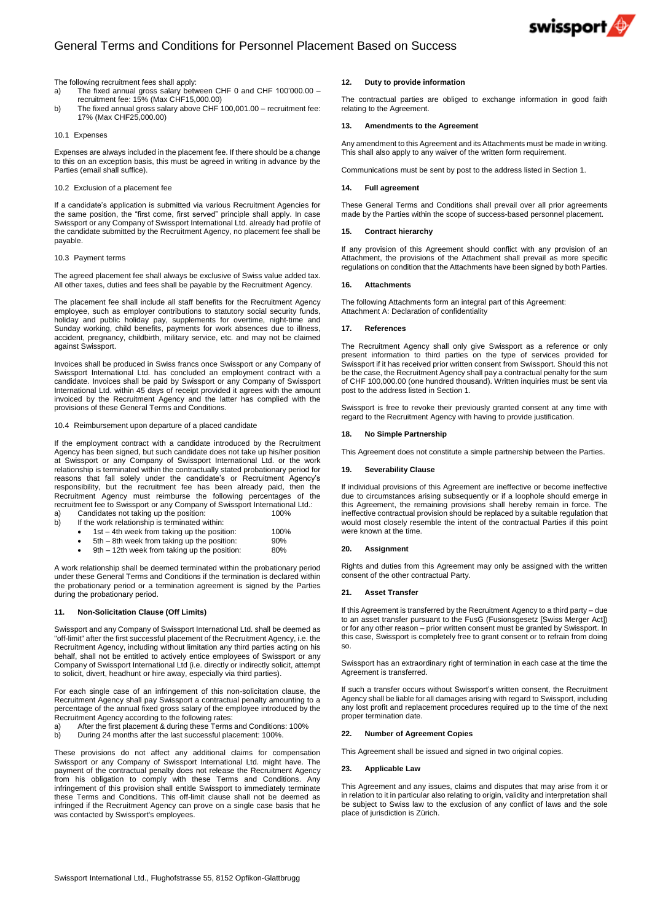

# General Terms and Conditions for Personnel Placement Based on Success

#### The following recruitment fees shall apply:

- a) The fixed annual gross salary between CHF 0 and CHF 100'000.00 recruitment fee: 15% (Max CHF15,000.00)
- b) The fixed annual gross salary above CHF 100,001.00 recruitment fee: 17% (Max CHF25,000.00)

#### 10.1 Expenses

Expenses are always included in the placement fee. If there should be a change to this on an exception basis, this must be agreed in writing in advance by the Parties (email shall suffice).

# 10.2 Exclusion of a placement fee

If a candidate's application is submitted via various Recruitment Agencies for the same position, the "first come, first served" principle shall apply. In case Swissport or any Company of Swissport International Ltd. already had profile of the candidate submitted by the Recruitment Agency, no placement fee shall be payable.

## 10.3 Payment terms

The agreed placement fee shall always be exclusive of Swiss value added tax. All other taxes, duties and fees shall be payable by the Recruitment Agency.

The placement fee shall include all staff benefits for the Recruitment Agency employee, such as employer contributions to statutory social security funds, holiday and public holiday pay, supplements for overtime, night-time and Sunday working, child benefits, payments for work absences due to illness, accident, pregnancy, childbirth, military service, etc. and may not be claimed against Swissport.

Invoices shall be produced in Swiss francs once Swissport or any Company of Swissport International Ltd. has concluded an employment contract with a candidate. Invoices shall be paid by Swissport or any Company of Swissport International Ltd. within 45 days of receipt provided it agrees with the amount invoiced by the Recruitment Agency and the latter has complied with the provisions of these General Terms and Conditions.

## 10.4 Reimbursement upon departure of a placed candidate

If the employment contract with a candidate introduced by the Recruitment Agency has been signed, but such candidate does not take up his/her position at Swissport or any Company of Swissport International Ltd. or the work relationship is terminated within the contractually stated probationary period for reasons that fall solely under the candidate's or Recruitment Agency's responsibility, but the recruitment fee has been already paid, then the Recruitment Agency must reimburse the following percentages of the recruitment fee to Swissport or any Company of Swissport International Ltd.:

- a) Candidates not taking up the position: 100% b) If the work relationship is terminated within:
	- 1st 4th week from taking up the position: 100%
	- 5th 8th week from taking up the position: 90%
	- 9th 12th week from taking up the position: 80%

A work relationship shall be deemed terminated within the probationary period under these General Terms and Conditions if the termination is declared within the probationary period or a termination agreement is signed by the Parties during the probationary period.

#### **11. Non-Solicitation Clause (Off Limits)**

Swissport and any Company of Swissport International Ltd. shall be deemed as "off-limit" after the first successful placement of the Recruitment Agency, i.e. the Recruitment Agency, including without limitation any third parties acting on his behalf, shall not be entitled to actively entice employees of Swissport or any Company of Swissport International Ltd (i.e. directly or indirectly solicit, attempt to solicit, divert, headhunt or hire away, especially via third parties).

For each single case of an infringement of this non-solicitation clause, the Recruitment Agency shall pay Swissport a contractual penalty amounting to a percentage of the annual fixed gross salary of the employee introduced by the Recruitment Agency according to the following rates:

- a) After the first placement & during these Terms and Conditions: 100%
- b) During 24 months after the last successful placement: 100%

These provisions do not affect any additional claims for compensation Swissport or any Company of Swissport International Ltd. might have. The payment of the contractual penalty does not release the Recruitment Agency from his obligation to comply with these Terms and Conditions. Any infringement of this provision shall entitle Swissport to immediately terminate these Terms and Conditions. This off-limit clause shall not be deemed as infringed if the Recruitment Agency can prove on a single case basis that he was contacted by Swissport's employees.

#### **12. Duty to provide information**

The contractual parties are obliged to exchange information in good faith relating to the Agreement.

# **13. Amendments to the Agreement**

Any amendment to this Agreement and its Attachments must be made in writing. This shall also apply to any waiver of the written form requirement

Communications must be sent by post to the address listed in Section 1.

## **14. Full agreement**

These General Terms and Conditions shall prevail over all prior agreements made by the Parties within the scope of success-based personnel placement.

#### **15. Contract hierarchy**

If any provision of this Agreement should conflict with any provision of an Attachment, the provisions of the Attachment shall prevail as more specific regulations on condition that the Attachments have been signed by both Parties.

#### **16. Attachments**

The following Attachments form an integral part of this Agreement: Attachment A: Declaration of confidentiality

#### **17. References**

The Recruitment Agency shall only give Swissport as a reference or only present information to third parties on the type of services provided for Swissport if it has received prior written consent from Swissport. Should this not be the case, the Recruitment Agency shall pay a contractual penalty for the sum of CHF 100,000.00 (one hundred thousand). Written inquiries must be sent via post to the address listed in Section 1.

Swissport is free to revoke their previously granted consent at any time with regard to the Recruitment Agency with having to provide justification.

#### **18. No Simple Partnership**

This Agreement does not constitute a simple partnership between the Parties.

#### **19. Severability Clause**

If individual provisions of this Agreement are ineffective or become ineffective due to circumstances arising subsequently or if a loophole should emerge in this Agreement, the remaining provisions shall hereby remain in force. The ineffective contractual provision should be replaced by a suitable regulation that would most closely resemble the intent of the contractual Parties if this point were known at the time.

#### **20. Assignment**

Rights and duties from this Agreement may only be assigned with the written consent of the other contractual Party.

# **21. Asset Transfer**

If this Agreement is transferred by the Recruitment Agency to a third party – due to an asset transfer pursuant to the FusG (Fusionsgesetz [Swiss Merger Act]) or for any other reason – prior written consent must be granted by Swissport. In this case, Swissport is completely free to grant consent or to refrain from doing so.

Swissport has an extraordinary right of termination in each case at the time the Agreement is transferred.

If such a transfer occurs without Swissport's written consent, the Recruitment Agency shall be liable for all damages arising with regard to Swissport, including any lost profit and replacement procedures required up to the time of the next proper termination date.

## **22. Number of Agreement Copies**

This Agreement shall be issued and signed in two original copies.

#### **23. Applicable Law**

This Agreement and any issues, claims and disputes that may arise from it or in relation to it in particular also relating to origin, validity and interpretation shall be subject to Swiss law to the exclusion of any conflict of laws and the sole place of jurisdiction is Zürich.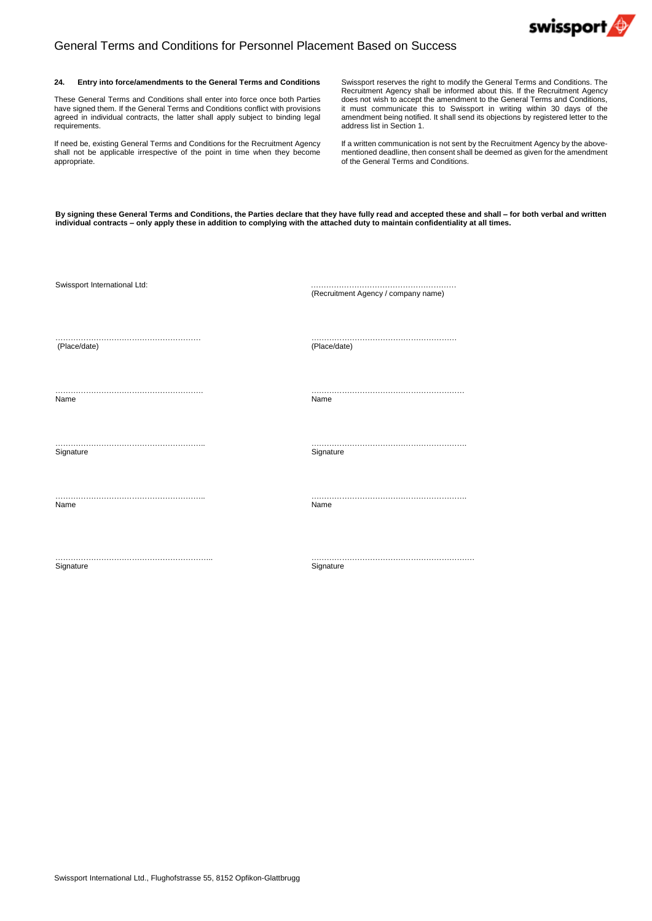

# General Terms and Conditions for Personnel Placement Based on Success

### **24. Entry into force/amendments to the General Terms and Conditions**

These General Terms and Conditions shall enter into force once both Parties have signed them. If the General Terms and Conditions conflict with provisions agreed in individual contracts, the latter shall apply subject to binding legal requirements.

If need be, existing General Terms and Conditions for the Recruitment Agency shall not be applicable irrespective of the point in time when they become appropriate.

Swissport reserves the right to modify the General Terms and Conditions. The Recruitment Agency shall be informed about this. If the Recruitment Agency does not wish to accept the amendment to the General Terms and Conditions, it must communicate this to Swissport in writing within 30 days of the amendment being notified. It shall send its objections by registered letter to the address list in Section 1.

If a written communication is not sent by the Recruitment Agency by the abovementioned deadline, then consent shall be deemed as given for the amendment of the General Terms and Conditions.

By signing these General Terms and Conditions, the Parties declare that they have fully read and accepted these and shall - for both verbal and written individual contracts - only apply these in addition to complying with the attached duty to maintain confidentiality at all times.

| Swissport International Ltd: | (Recruitment Agency / company name) |
|------------------------------|-------------------------------------|
|                              |                                     |
| (Place/date)                 | (Place/date)                        |
|                              |                                     |
| Name                         | Name                                |
|                              |                                     |
| Signature                    | Signature                           |
| Name                         | Name                                |
| Signature                    | Signature                           |

Swissport International Ltd., Flughofstrasse 55, 8152 Opfikon-Glattbrugg